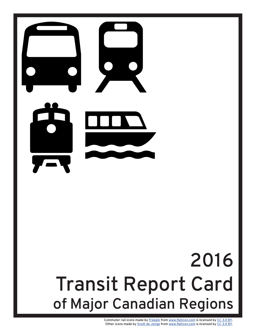

# 2016 Transit Report Card of Major Canadian Regions

Commuter rail icons made by [Freepik](http://www.freepik.com) from [www.flaticon.com](http://www.flaticon.com) is licensed by [CC 3.0 BY.](http://creativecommons.org/licenses/by/3.0/) Other icons made by [Scott de Jonge](http://www.flaticon.com/authors/scott-de-jonge) from [www.flaticon.com](http://www.flaticon.com) is licensed by [CC 3.0 BY.](http://creativecommons.org/licenses/by/3.0/)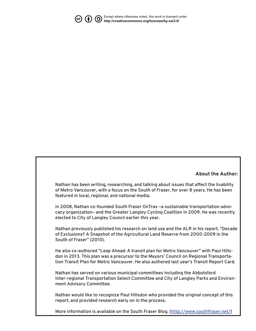

[Except where otherwise noted, this work is licensed under](http://creativecommons.org/licenses/by-sa/3.0/) **http://creativecommons.org/licenses/by-sa/3.0/** 

#### **About the Author:**

Nathan has been writing, researching, and talking about issues that affect the livability of Metro Vancouver, with a focus on the South of Fraser, for over 8 years. He has been featured in local, regional, and national media.

In 2008, Nathan co-founded South Fraser OnTrax —a sustainable transportation advocacy organization— and the Greater Langley Cycling Coalition in 2009. He was recently elected to City of Langley Council earlier this year.

Nathan previously published his research on land use and the ALR in his report, "Decade of Exclusions? A Snapshot of the Agricultural Land Reserve from 2000-2009 in the South of Fraser" (2010).

He also co-authored "Leap Ahead: A transit plan for Metro Vancouver" with Paul Hillsdon in 2013. This plan was a precursor to the Mayors' Council on Regional Transportation Transit Plan for Metro Vancouver. He also authored last year's Transit Report Card.

Nathan has served on various municipal committees including the Abbotsford Inter-regional Transportation Select Committee and City of Langley Parks and Environment Advisory Committee.

Nathan would like to recognize Paul Hillsdon who provided the original concept of this report, and provided research early on in the process.

More information is available on the South Fraser Blog. [\(http://www.southfraser.net/\)](http://www.southfraser.net/)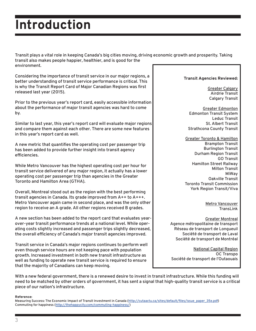## **Introduction**

Transit plays a vital role in keeping Canada's big cities moving, driving economic growth and prosperity. Taking transit also makes people happier, healthier, and is good for the environment.

Considering the importance of transit service in our major regions, a better understanding of transit service performance is critical. This is why the Transit Report Card of Major Canadian Regions was first released last year (2015).

Prior to the previous year's report card, easily accessible information about the performance of major transit agencies was hard to come by.

Similar to last year, this year's report card will evaluate major regions and compare them against each other. There are some new features in this year's report card as well.

A new metric that quantifies the operating cost per passenger trip has been added to provide further insight into transit agency efficiencies.

While Metro Vancouver has the highest operating cost per hour for transit service delivered of any major region, it actually has a lower operating cost per passenger trip than agencies in the Greater Toronto and Hamilton Area (GTHA).

Overall, Montreal stood out as the region with the best performing transit agencies in Canada. Its grade improved from A++ to A+++. Metro Vancouver again came in second place, and was the only other region to receive an A grade. All other regions received B grades.

A new section has been added to the report card that evaluates yearover-year transit performance trends at a national level. While operating costs slightly increased and passenger trips slightly decreased, the overall efficiency of Canada's major transit agencies improved.

Transit service in Canada's major regions continues to perform well even though service hours are not keeping pace with population growth. Increased investment in both new transit infrastructure as well as funding to operate new transit service is required to ensure that the majority of Canadians can keep moving.

#### **Transit Agencies Reviewed:**

Greater Calgary Airdrie Transit Calgary Transit

Greater Edmonton Edmonton Transit System Leduc Transit St. Albert Transit Strathcona County Transit

Greater Toronto & Hamilton Brampton Transit Burlington Transit Durham Region Transit GO Transit Hamilton Street Railway Milton Transit MiWay Oakville Transit Toronto Transit Commission York Region Transit/Viva

> Metro Vancouver **TransLink**

#### Greater Montreal

Agence métropolitaine de transport Réseau de transport de Longueuil Société de transport de Laval Société de transport de Montréal

National Capital Region OC Transpo Société de transport de l'Outaouais

With a new federal government, there is a renewed desire to invest in transit infrastructure. While this funding will need to be matched by other orders of government, it has sent a signal that high-quality transit service is a critical piece of our nation's infrastructure.

#### **Reference:**

Measuring Success: The Economic Impact of Transit Investment in Canada ([http://cutaactu.ca/sites/default/files/issue\\_paper\\_35e.pdf](http://cutaactu.ca/sites/default/files/issue_paper_35e.pdf)) Commuting for happiness ([http://thehappycity.com/commuting-happiness/\)](http://thehappycity.com/commuting-happiness/)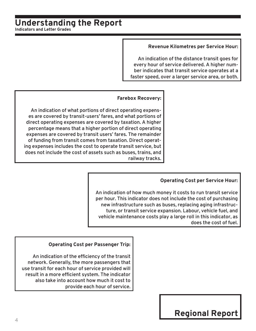#### **Understanding the Report Indicators and Letter Grades**

#### **Revenue Kilometres per Service Hour:**

An indication of the distance transit goes for every hour of service delivered. A higher number indicates that transit service operates at a faster speed, over a larger service area, or both.

#### **Farebox Recovery:**

An indication of what portions of direct operating expenses are covered by transit-users' fares, and what portions of direct operating expenses are covered by taxation. A higher percentage means that a higher portion of direct operating expenses are covered by transit users' fares. The remainder of funding from transit comes from taxation. Direct operating expenses includes the cost to operate transit service, but does not include the cost of assets such as buses, trains, and railway tracks.

#### **Operating Cost per Service Hour:**

An indication of how much money it costs to run transit service per hour. This indicator does not include the cost of purchasing new infrastructure such as buses, replacing aging infrastructure, or transit service expansion. Labour, vehicle fuel, and vehicle maintenance costs play a large roll in this indicator, as does the cost of fuel.

#### **Operating Cost per Passenger Trip:**

An indication of the efficiency of the transit network. Generally, the more passengers that use transit for each hour of service provided will result in a more efficient system. The indicator also take into account how much it cost to provide each hour of service.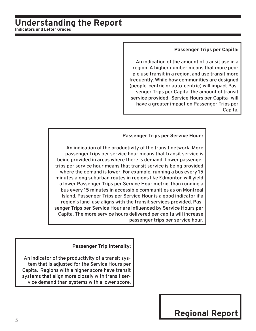#### **Understanding the Report Indicators and Letter Grades**

#### **Passenger Trips per Capita:**

An indication of the amount of transit use in a region. A higher number means that more people use transit in a region, and use transit more frequently. While how communities are designed (people-centric or auto-centric) will impact Passenger Trips per Capita, the amount of transit service provided -Service Hours per Capita- will have a greater impact on Passenger Trips per Capita.

#### **Passenger Trips per Service Hour :**

An indication of the productivity of the transit network. More passenger trips per service hour means that transit service is being provided in areas where there is demand. Lower passenger trips per service hour means that transit service is being provided where the demand is lower. For example, running a bus every 15 minutes along suburban routes in regions like Edmonton will yield a lower Passenger Trips per Service Hour metric, than running a bus every 15 minutes in accessible communities as on Montreal Island. Passenger Trips per Service Hour is a good indicator if a region's land-use aligns with the transit services provided. Passenger Trips per Service Hour are influenced by Service Hours per Capita. The more service hours delivered per capita will increase passenger trips per service hour.

#### **Passenger Trip Intensity:**

An indicator of the productivity of a transit system that is adjusted for the Service Hours per Capita. Regions with a higher score have transit systems that align more closely with transit service demand than systems with a lower score.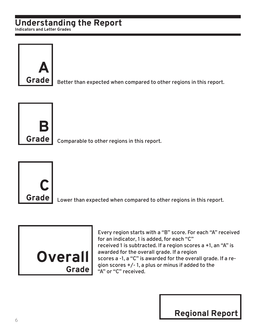### **Understanding the Report**

**Indicators and Letter Grades**



Better than expected when compared to other regions in this report.



Comparable to other regions in this report.



Lower than expected when compared to other regions in this report.



Every region starts with a "B" score. For each "A" received for an indicator, 1 is added, for each "C" received 1 is subtracted. If a region scores a +1, an "A" is awarded for the overall grade. If a region scores a -1, a "C" is awarded for the overall grade. If a region scores +/- 1, a plus or minus if added to the "A" or "C" received.

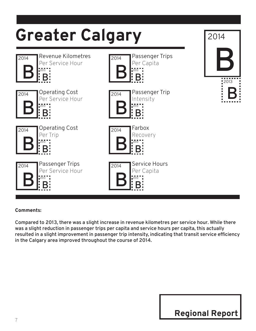

Compared to 2013, there was a slight increase in revenue kilometres per service hour. While there was a slight reduction in passenger trips per capita and service hours per capita, this actually resulted in a slight improvement in passenger trip intensity, indicating that transit service efficiency in the Calgary area improved throughout the course of 2014.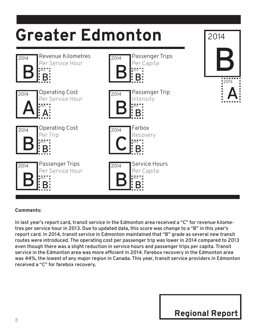

In last year's report card, transit service in the Edmonton area received a "C" for revenue kilometres per service hour in 2013. Due to updated data, this score was change to a "B" in this year's report card. In 2014, transit service in Edmonton maintained that "B" grade as several new transit routes were introduced. The operating cost per passenger trip was lower in 2014 compared to 2013 even though there was a slight reduction in service hours and passenger trips per capita. Transit service in the Edmonton area was more efficient in 2014. Farebox recovery in the Edmonton area was 44%, the lowest of any major region in Canada. This year, transit service providers in Edmonton received a "C" for farebox recovery.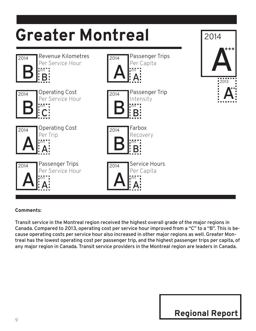

Transit service in the Montreal region received the highest overall grade of the major regions in Canada. Compared to 2013, operating cost per service hour improved from a "C" to a "B". This is because operating costs per service hour also increased in other major regions as well. Greater Montreal has the lowest operating cost per passenger trip, and the highest passenger trips per capita, of any major region in Canada. Transit service providers in the Montreal region are leaders in Canada.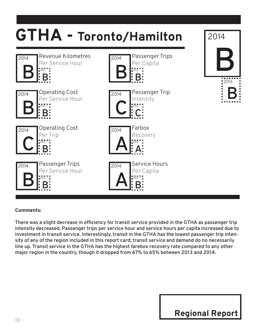

There was a slight decrease in efficiency for transit service provided in the GTHA as passenger trip intensity decreased. Passenger trips per service hour and service hours per capita increased due to investment in transit service. Interestingly, transit in the GTHA has the lowest passenger trip intensity of any of the region included in this report card; transit service and demand do no necessarily line up. Transit service in the GTHA has the highest farebox recovery rate compared to any other major region in the country, though it dropped from 67% to 65% between 2013 and 2014.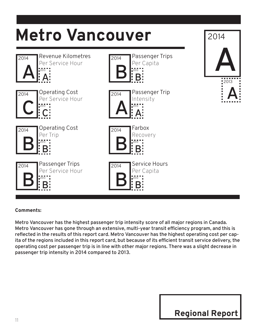

Metro Vancouver has the highest passenger trip intensity score of all major regions in Canada. Metro Vancouver has gone through an extensive, multi-year transit efficiency program, and this is reflected in the results of this report card. Metro Vancouver has the highest operating cost per capita of the regions included in this report card, but because of its efficient transit service delivery, the operating cost per passenger trip is in line with other major regions. There was a slight decrease in passenger trip intensity in 2014 compared to 2013.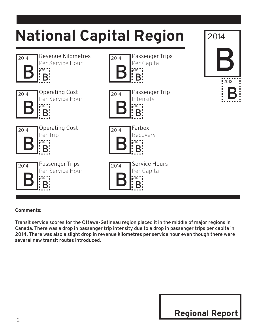

Transit service scores for the Ottawa-Gatineau region placed it in the middle of major regions in Canada. There was a drop in passenger trip intensity due to a drop in passenger trips per capita in 2014. There was also a slight drop in revenue kilometres per service hour even though there were several new transit routes introduced.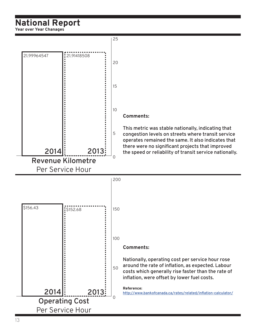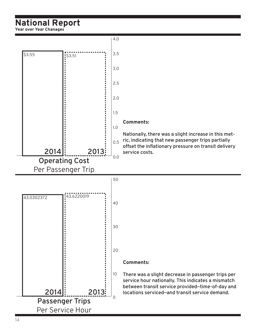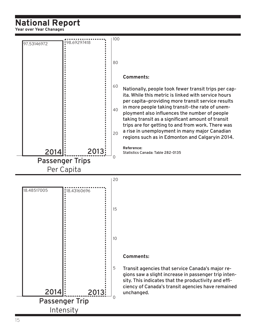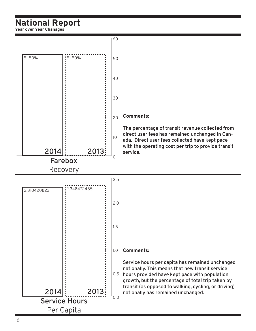